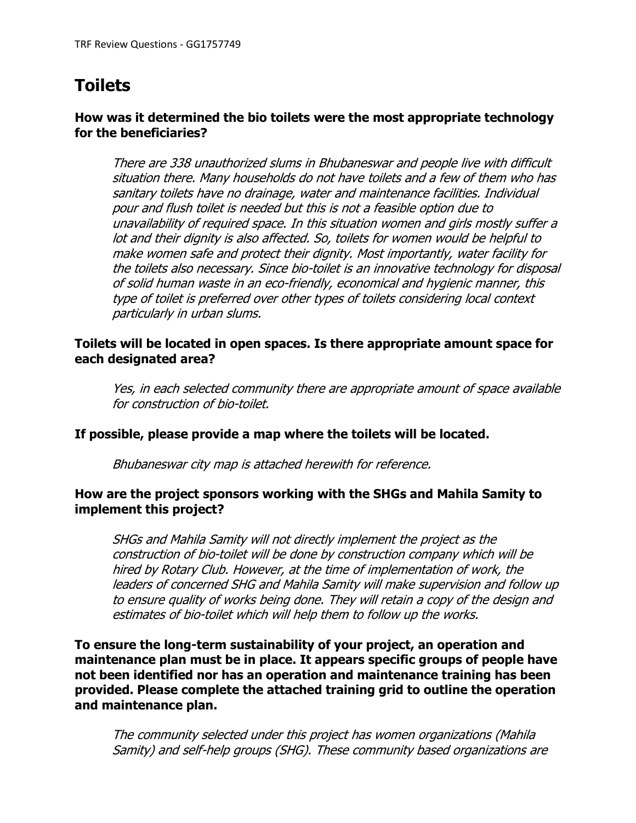# **Toilets**

### **How was it determined the bio toilets were the most appropriate technology for the beneficiaries?**

There are 338 unauthorized slums in Bhubaneswar and people live with difficult situation there. Many households do not have toilets and a few of them who has sanitary toilets have no drainage, water and maintenance facilities. Individual pour and flush toilet is needed but this is not a feasible option due to unavailability of required space. In this situation women and girls mostly suffer a lot and their dignity is also affected. So, toilets for women would be helpful to make women safe and protect their dignity. Most importantly, water facility for the toilets also necessary. Since bio-toilet is an innovative technology for disposal of solid human waste in an eco-friendly, economical and hygienic manner, this type of toilet is preferred over other types of toilets considering local context particularly in urban slums.

#### **Toilets will be located in open spaces. Is there appropriate amount space for each designated area?**

Yes, in each selected community there are appropriate amount of space available for construction of bio-toilet.

**If possible, please provide a map where the toilets will be located.**

Bhubaneswar city map is attached herewith for reference.

### **How are the project sponsors working with the SHGs and Mahila Samity to implement this project?**

SHGs and Mahila Samity will not directly implement the project as the construction of bio-toilet will be done by construction company which will be hired by Rotary Club. However, at the time of implementation of work, the leaders of concerned SHG and Mahila Samity will make supervision and follow up to ensure quality of works being done. They will retain a copy of the design and estimates of bio-toilet which will help them to follow up the works.

**To ensure the long-term sustainability of your project, an operation and maintenance plan must be in place. It appears specific groups of people have not been identified nor has an operation and maintenance training has been provided. Please complete the attached training grid to outline the operation and maintenance plan.**

The community selected under this project has women organizations (Mahila Samity) and self-help groups (SHG). These community based organizations are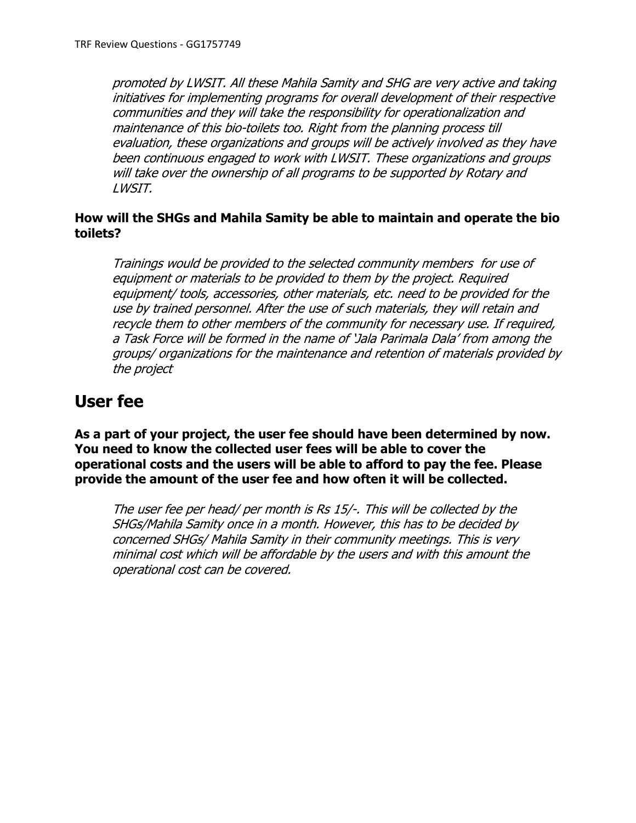promoted by LWSIT. All these Mahila Samity and SHG are very active and taking initiatives for implementing programs for overall development of their respective communities and they will take the responsibility for operationalization and maintenance of this bio-toilets too. Right from the planning process till evaluation, these organizations and groups will be actively involved as they have been continuous engaged to work with LWSIT. These organizations and groups will take over the ownership of all programs to be supported by Rotary and LWSIT.

### **How will the SHGs and Mahila Samity be able to maintain and operate the bio toilets?**

Trainings would be provided to the selected community members for use of equipment or materials to be provided to them by the project. Required equipment/ tools, accessories, other materials, etc. need to be provided for the use by trained personnel. After the use of such materials, they will retain and recycle them to other members of the community for necessary use. If required, a Task Force will be formed in the name of 'Jala Parimala Dala' from among the groups/ organizations for the maintenance and retention of materials provided by the project

## **User fee**

**As a part of your project, the user fee should have been determined by now. You need to know the collected user fees will be able to cover the operational costs and the users will be able to afford to pay the fee. Please provide the amount of the user fee and how often it will be collected.**

The user fee per head/ per month is Rs 15/-. This will be collected by the SHGs/Mahila Samity once in a month. However, this has to be decided by concerned SHGs/ Mahila Samity in their community meetings. This is very minimal cost which will be affordable by the users and with this amount the operational cost can be covered.